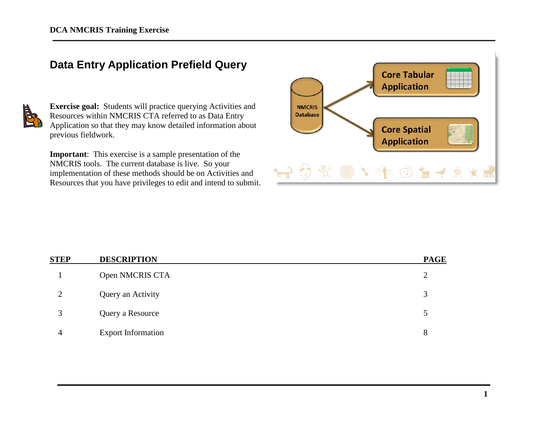# **Data Entry Application Prefield Query**



**Exercise goal:** Students will practice querying Activities and Resources within NMCRIS CTA referred to as Data Entry Application so that they may know detailed information about previous fieldwork.

**Important**: This exercise is a sample presentation of the NMCRIS tools. The current database is live. So your implementation of these methods should be on Activities and Resources that you have privileges to edit and intend to submit.



| <b>STEP</b> | <b>DESCRIPTION</b>        | <b>PAGE</b>    |
|-------------|---------------------------|----------------|
|             | Open NMCRIS CTA           | $\overline{2}$ |
| ∍           | Query an Activity         | 3              |
| 3           | Query a Resource          | 5              |
| 4           | <b>Export Information</b> | 8              |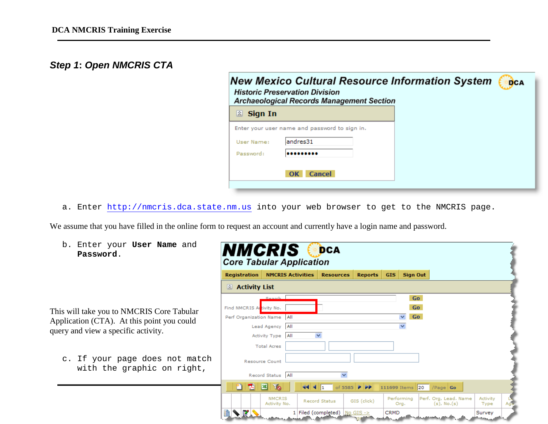## *Step 1***:** *Open NMCRIS CTA*

|                      | <b>New Mexico Cultural Resource Information System</b><br><b>Historic Preservation Division</b><br><b>Archaeological Records Management Section</b> | <b>DCA</b> |
|----------------------|-----------------------------------------------------------------------------------------------------------------------------------------------------|------------|
| <b>Sign In</b><br>A. |                                                                                                                                                     |            |
|                      | Enter your user name and password to sign in.                                                                                                       |            |
| User Name:           | landres31                                                                                                                                           |            |
| Password:            |                                                                                                                                                     |            |
|                      | <b>Cancel</b><br><b>OK</b>                                                                                                                          |            |

a. Enter [http://nmcris.dca.state.nm.us](http://nmcris.dca.state.nm.us/) into your web browser to get to the NMCRIS page.

We assume that you have filled in the online form to request an account and currently have a login name and password.

b. Enter your **User Name** and **Password**.

This will take you to NMCRIS Core Tabular Application (CTA). At this point you could query and view a specific activity.

c. If your page does not match with the graphic on right,

| NMCRIS<br><b>Core Tabular Application</b> |                               |            |        | <b>DCA</b>               |                                     |                   |                    |                                            |                  |     |
|-------------------------------------------|-------------------------------|------------|--------|--------------------------|-------------------------------------|-------------------|--------------------|--------------------------------------------|------------------|-----|
| <b>Registration</b>                       | <b>NMCRIS Activities</b>      |            |        | <b>Resources</b>         | <b>Reports</b>                      | <b>GIS</b>        | <b>Sign Out</b>    |                                            |                  |     |
| & Activity List                           |                               |            |        |                          |                                     |                   |                    |                                            |                  |     |
|                                           | Canadh i                      |            |        |                          |                                     |                   | Go                 |                                            |                  |     |
| Find NMCRIS Activity No.                  |                               |            |        |                          |                                     |                   | Go                 |                                            |                  |     |
| Perf Organization Name                    |                               | All        |        |                          |                                     |                   | Go<br>$\checkmark$ |                                            |                  |     |
|                                           | Lead Agency                   | <b>All</b> |        |                          |                                     |                   | ×                  |                                            |                  |     |
|                                           | <b>Activity Type</b>          | All        |        | $\checkmark$             |                                     |                   |                    |                                            |                  |     |
|                                           | <b>Total Acres</b>            |            |        |                          |                                     |                   |                    |                                            |                  |     |
|                                           | <b>Resource Count</b>         |            |        |                          |                                     |                   |                    |                                            |                  |     |
|                                           | Record Status   All           |            |        | $\overline{\phantom{a}}$ |                                     |                   |                    |                                            |                  |     |
| 집<br>۲ı                                   | ES.<br><b>Life</b>            |            | 44 4 1 |                          | of 5585 $\rightarrow$ $\rightarrow$ |                   | 111699 Items   20  | /Page Go                                   |                  |     |
|                                           | <b>NMCRIS</b><br>Activity No. |            |        | <b>Record Status</b>     | GIS (click)                         |                   | Performing<br>Org. | Perf. Org, Lead. Name<br>$(s)$ , No. $(s)$ | Activity<br>Type | Ag€ |
| e)<br>KN                                  |                               |            |        |                          | $1$ Filed (completed) No GIS ->     | <b>CRMD</b><br>А. |                    |                                            | Survey           |     |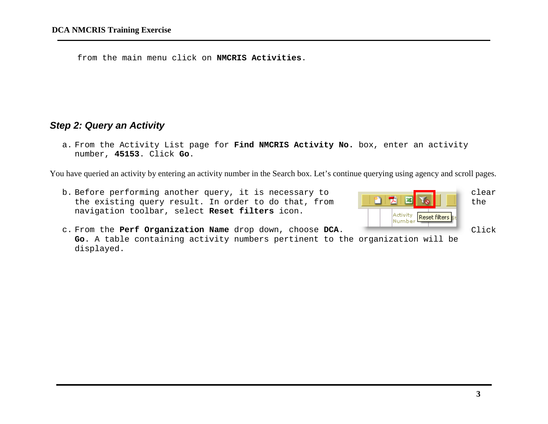from the main menu click on **NMCRIS Activities**.

### *Step 2: Query an Activity*

a. From the Activity List page for **Find NMCRIS Activity No.** box, enter an activity number, **45153**. Click **Go**.

You have queried an activity by entering an activity number in the Search box. Let's continue querying using agency and scroll pages.

b. Before performing another query, it is necessary to clear the existing query result. In order to do that, from navigation toolbar, select **Reset filters** icon.



c. From the **Perf Organization Name** drop down, choose **DCA**. Click **Go**. A table containing activity numbers pertinent to the organization will be displayed.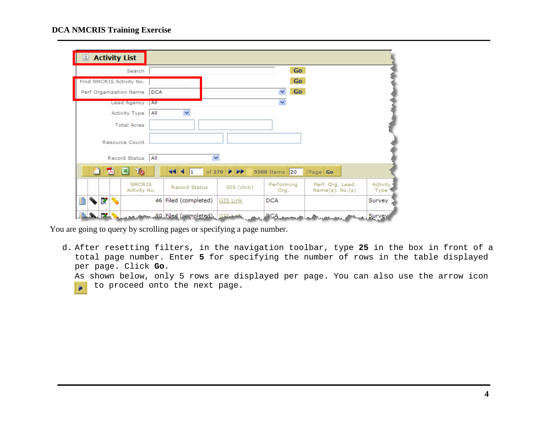| <b>Activity List</b><br>交     |                                                                                                                                                          |                  |
|-------------------------------|----------------------------------------------------------------------------------------------------------------------------------------------------------|------------------|
| Search                        | Go                                                                                                                                                       |                  |
| Find NMCRIS Activity No.      | Go                                                                                                                                                       |                  |
| Perf Organization Name        | Go<br>v<br>DCA                                                                                                                                           |                  |
| Lead Agency                   | ٧<br>$\overline{\mathsf{A}}$                                                                                                                             |                  |
| Activity Type                 | v<br>All                                                                                                                                                 |                  |
| <b>Total Acres</b>            |                                                                                                                                                          |                  |
| <b>Resource Count</b>         |                                                                                                                                                          |                  |
| Record Status                 | All<br>v                                                                                                                                                 |                  |
| ۴٦<br><b>TO</b><br>ᅩ<br>E     | of 279 $\rightarrow$ $\rightarrow$<br>44 4 1<br>5569 Items   20<br>$/Page$ Go                                                                            |                  |
| <b>NMCRIS</b><br>Activity No. | Performing<br>Perf. Org, Lead.<br><b>Record Status</b><br>GIS (click)<br>Name(s), No.(s)<br>Org.                                                         | Activity<br>Type |
| ₿<br>И                        | 46 Filed (completed)<br>GIS Link<br><b>DCA</b>                                                                                                           | Survey           |
| BIA FR                        | LangAm.50 [Filed (completed). GIS Link<br>المنك <sup>وم</sup> المناطق المتحدة المناطق المناطق المناطق المناطق المناطق المناطق المناطق المناطق المناطق ال | Survey           |

You are going to query by scrolling pages or specifying a page number.

d. After resetting filters, in the navigation toolbar, type **25** in the box in front of a total page number. Enter **5** for specifying the number of rows in the table displayed per page. Click **Go**. As shown below, only 5 rows are displayed per page. You can also use the arrow icon to proceed onto the next page. $\mathbf{B}$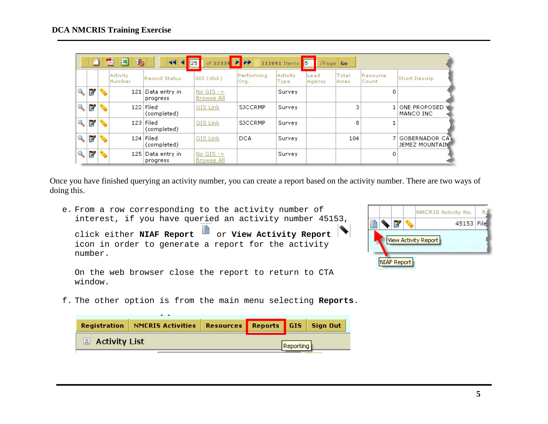|              | የገ             | <b>Jo</b><br>▩<br>z  | 44.4<br>25                 | of 22339 $\rightarrow$ $\rightarrow$      |                    | 111691 Items            | ll5.<br>/Page   Go |                |                   |                                  |
|--------------|----------------|----------------------|----------------------------|-------------------------------------------|--------------------|-------------------------|--------------------|----------------|-------------------|----------------------------------|
|              |                | Activity<br>lNumber. | Record Status              | GIS (click)                               | Performing<br>Org. | <b>Activity</b><br>Type | Lead<br>Agency     | Total<br>Acres | Resource<br>Count | Short Descrip                    |
| $\mathbb{Q}$ | Р              | 121                  | Data entry in <br>progress | No GIS $\rightarrow$<br><b>Browse All</b> |                    | Survey                  |                    |                | 0                 |                                  |
| $\mathbb{Q}$ | $\mathbb{R}^2$ |                      | 122 Filed<br>(completed)   | GIS Link                                  | <b>SJCCRMP</b>     | .Survey.                |                    | з              |                   | ONE PROPOSED W<br>MANCO INC      |
| $\mathbb{Q}$ | $\mathbb{F}$   | 123                  | Filed<br>(completed)       | GIS Link                                  | <b>SJCCRMP</b>     | Survey                  |                    | 8.             |                   |                                  |
| ۹            | П              |                      | $124$ Filed<br>(completed) | GIS Link                                  | <b>DCA</b>         | Survey                  |                    | 104            |                   | GOBERNADOR_CA)<br>JEMEZ MOUNTAIN |
| $\mathbb{Q}$ | П              | 125                  | Data entry in <br>progress | No GIS $\rightarrow$<br><b>Browse All</b> |                    | Survey                  |                    |                | 0                 |                                  |

Once you have finished querying an activity number, you can create a report based on the activity number. There are two ways of doing this.

e. From a row corresponding to the activity number of interest, if you have queried an activity number 45153, click either **NIAF Report** or **View Activity Report** icon in order to generate a report for the activity number.

On the web browser close the report to return to CTA window.



f. The other option is from the main menu selecting **Reports**.

|                         | Registration   NMCRIS Activities   Resources   Reports   GIS   Sign Out |  |           |  |
|-------------------------|-------------------------------------------------------------------------|--|-----------|--|
| $\otimes$ Activity List |                                                                         |  | Reporting |  |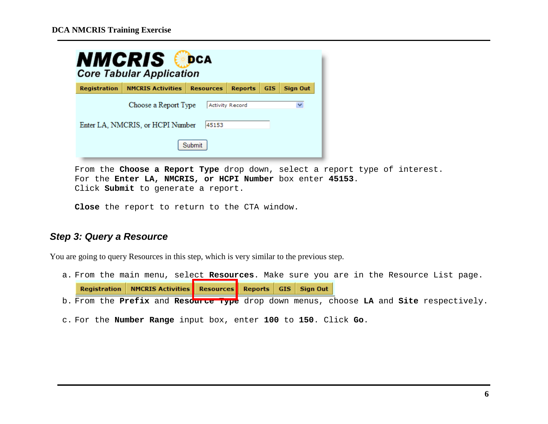| <b>NMCRIS</b><br>DCA<br><b>Core Tabular Application</b> |                                                          |                  |                        |            |                 |  |  |  |  |
|---------------------------------------------------------|----------------------------------------------------------|------------------|------------------------|------------|-----------------|--|--|--|--|
| <b>Registration</b>                                     | <b>NMCRIS Activities</b>                                 | <b>Resources</b> | <b>Reports</b>         | <b>GIS</b> | <b>Sign Out</b> |  |  |  |  |
|                                                         | Choose a Report Type<br>Enter LA, NMCRIS, or HCPI Number | 45153            | <b>Activity Record</b> |            | v               |  |  |  |  |
|                                                         |                                                          | Submit           |                        |            |                 |  |  |  |  |

From the **Choose a Report Type** drop down, select a report type of interest. For the **Enter LA, NMCRIS, or HCPI Number** box enter **45153**. Click **Submit** to generate a report.

**Close** the report to return to the CTA window.

## *Step 3: Query a Resource*

You are going to query Resources in this step, which is very similar to the previous step.

- a. From the main menu, select **Resources**. Make sure you are in the Resource List page. NMCRIS Activities Resources Reports GIS Sign Out **Registration**
- b. From the **Prefix** and **Resource Type** drop down menus, choose **LA** and **Site** respectively.
- c. For the **Number Range** input box, enter **100** to **150**. Click **Go**.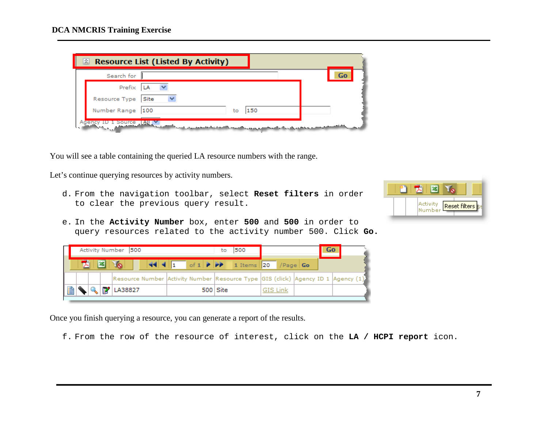|                                    | <sup>2</sup> Resource List (Listed By Activity)                                                                                                                                                                                |
|------------------------------------|--------------------------------------------------------------------------------------------------------------------------------------------------------------------------------------------------------------------------------|
| Search for                         | Go                                                                                                                                                                                                                             |
| Prefix                             |                                                                                                                                                                                                                                |
| Resource Type                      | Site                                                                                                                                                                                                                           |
| Number Range                       | 100<br>150<br>to                                                                                                                                                                                                               |
| Source All<br><b>Sellen Branch</b> | the construction of the construction of the construction of the construction of the construction of the construction of the construction of the construction of the construction of the construction of the construction of th |

You will see a table containing the queried LA resource numbers with the range.

Let's continue querying resources by activity numbers.

- d. From the navigation toolbar, select **Reset filters** in order to clear the previous query result.
- e. In the **Activity Number** box, enter **500** and **500** in order to query resources related to the activity number 500. Click **Go.**



|    |   |  | Activity Number 500                                                                                                                                                                                        |  | to         | 500                                                                          |                 | Go |                                                                                    |
|----|---|--|------------------------------------------------------------------------------------------------------------------------------------------------------------------------------------------------------------|--|------------|------------------------------------------------------------------------------|-----------------|----|------------------------------------------------------------------------------------|
|    | ™ |  | $\sqrt{2}$                                                                                                                                                                                                 |  |            | $  \vec{u}     _1$ of $1  \vec{v}  $ of $1  \vec{v}  _1$ 1 Items 20 /Page Go |                 |    |                                                                                    |
|    |   |  |                                                                                                                                                                                                            |  |            |                                                                              |                 |    | Resource Number Activity Number Resource Type (GIS (click) Agency ID 1 (Agency (1) |
| IB |   |  | $\left \left \left \right \right \right $ $\left \left \left \right \right $ $\left \left \left \right \right \right $ $\left \left \left \right \right \right $ $\left \left \left \right \right \right $ |  | $500$ Site |                                                                              | <b>GIS Link</b> |    |                                                                                    |

Once you finish querying a resource, you can generate a report of the results.

f. From the row of the resource of interest, click on the **LA / HCPI report** icon.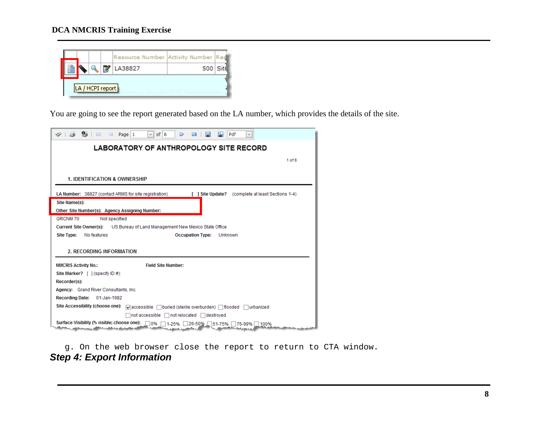|  |                  | Resource Number Activity Number Res |            |  |
|--|------------------|-------------------------------------|------------|--|
|  |                  | <b>7</b> LA38827                    | $500$ Site |  |
|  | LA / HCPI report |                                     |            |  |

You are going to see the report generated based on the LA number, which provides the details of the site.

| $\varphi$   $\oplus$   $\boxtimes$   $\Box$ $\Box$ Page   1<br>鳯<br>$\vee$ of 6<br>H<br>$\triangleright$<br>$\bowtie$<br>Pdf<br>$\checkmark$ |
|----------------------------------------------------------------------------------------------------------------------------------------------|
| LABORATORY OF ANTHROPOLOGY SITE RECORD                                                                                                       |
| 1 <sub>0</sub> f <sub>6</sub>                                                                                                                |
|                                                                                                                                              |
| <b>1. IDENTIFICATION &amp; OWNERSHIP</b>                                                                                                     |
| LA Number: 38827 (contact ARMS for site registration)<br>[ ] Site Update? (complete at least Sections 1-4)                                   |
| Site Name(s):                                                                                                                                |
| Other Site Number(s): Agency Assigning Number:                                                                                               |
| <b>GRCNM70</b><br>Not specified                                                                                                              |
| Current Site Owner(s): US Bureau of Land Management New Mexico State Office                                                                  |
| <b>Site Type:</b><br>No features<br><b>Occupation Type:</b><br>Unknown                                                                       |
|                                                                                                                                              |
| <b>2. RECORDING INFORMATION</b>                                                                                                              |
| <b>Field Site Number:</b><br><b>NMCRIS Activity No.:</b>                                                                                     |
| Site Marker? [ ] (specify ID #):                                                                                                             |
| Recorder(s):                                                                                                                                 |
| Agency: Grand River Consultants, Inc.                                                                                                        |
| Recording Date: 01-Jan-1982                                                                                                                  |
| Site Accessibility (choose one):<br>□ accessible □ buried (sterile overburden) □ flooded □ urbanized                                         |
| $\Box$ not accessible $\Box$ not relocated $\Box$ destroyed                                                                                  |
| Surface Visibility (% visible; choose one): □ 0%<br>26-50% 51-75%<br>1-25%<br>76-99%<br>100%                                                 |

 g. On the web browser close the report to return to CTA window. *Step 4: Export Information*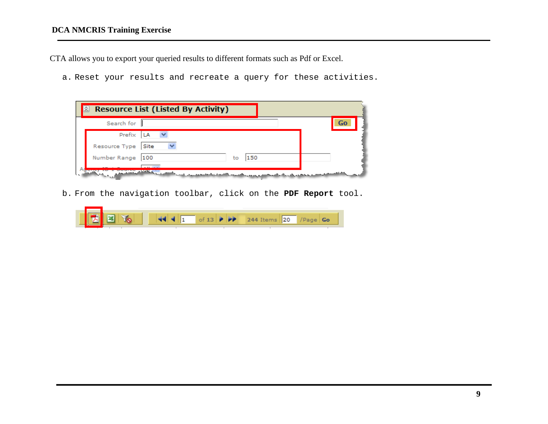#### **DCA NMCRIS Training Exercise**

CTA allows you to export your queried results to different formats such as Pdf or Excel.

a. Reset your results and recreate a query for these activities.

| <sup>2</sup> Resource List (Listed By Activity) |     |    |     |    |
|-------------------------------------------------|-----|----|-----|----|
| Search for                                      |     |    |     | Go |
| Prefix LA                                       |     |    |     |    |
| Resource Type Site                              |     |    |     |    |
| Number Range                                    | 100 | to | 150 |    |
|                                                 |     |    |     |    |

b. From the navigation toolbar, click on the **PDF Report** tool.